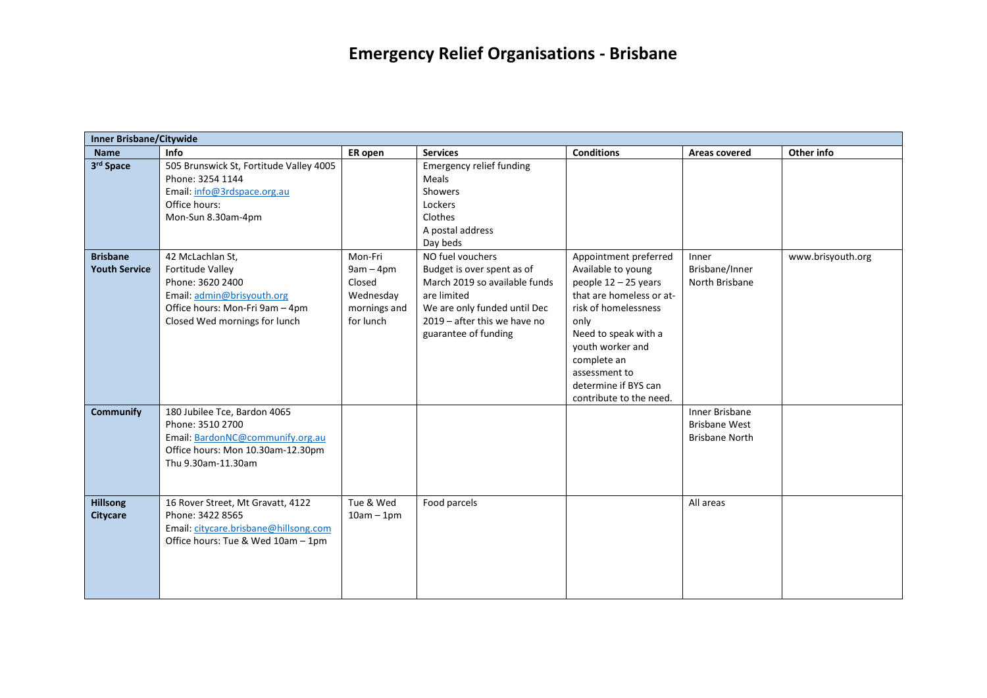|                                         | <b>Inner Brisbane/Citywide</b>                                                                                                                             |                                                                            |                                                                                                                                                                                        |                                                                                                                                                                                                                                                                  |                                                                        |                   |  |  |  |
|-----------------------------------------|------------------------------------------------------------------------------------------------------------------------------------------------------------|----------------------------------------------------------------------------|----------------------------------------------------------------------------------------------------------------------------------------------------------------------------------------|------------------------------------------------------------------------------------------------------------------------------------------------------------------------------------------------------------------------------------------------------------------|------------------------------------------------------------------------|-------------------|--|--|--|
| <b>Name</b>                             | Info                                                                                                                                                       | ER open                                                                    | <b>Services</b>                                                                                                                                                                        | <b>Conditions</b>                                                                                                                                                                                                                                                | Areas covered                                                          | Other info        |  |  |  |
| 3rd Space                               | 505 Brunswick St, Fortitude Valley 4005<br>Phone: 3254 1144<br>Email: info@3rdspace.org.au<br>Office hours:<br>Mon-Sun 8.30am-4pm                          |                                                                            | <b>Emergency relief funding</b><br>Meals<br><b>Showers</b><br>Lockers<br>Clothes<br>A postal address<br>Day beds                                                                       |                                                                                                                                                                                                                                                                  |                                                                        |                   |  |  |  |
| <b>Brisbane</b><br><b>Youth Service</b> | 42 McLachlan St,<br>Fortitude Valley<br>Phone: 3620 2400<br>Email: admin@brisyouth.org<br>Office hours: Mon-Fri 9am - 4pm<br>Closed Wed mornings for lunch | Mon-Fri<br>$9am - 4pm$<br>Closed<br>Wednesday<br>mornings and<br>for lunch | NO fuel vouchers<br>Budget is over spent as of<br>March 2019 so available funds<br>are limited<br>We are only funded until Dec<br>2019 - after this we have no<br>guarantee of funding | Appointment preferred<br>Available to young<br>people $12 - 25$ years<br>that are homeless or at-<br>risk of homelessness<br>only<br>Need to speak with a<br>youth worker and<br>complete an<br>assessment to<br>determine if BYS can<br>contribute to the need. | Inner<br>Brisbane/Inner<br>North Brisbane                              | www.brisyouth.org |  |  |  |
| <b>Communify</b>                        | 180 Jubilee Tce, Bardon 4065<br>Phone: 3510 2700<br>Email: BardonNC@communify.org.au<br>Office hours: Mon 10.30am-12.30pm<br>Thu 9.30am-11.30am            |                                                                            |                                                                                                                                                                                        |                                                                                                                                                                                                                                                                  | <b>Inner Brisbane</b><br><b>Brisbane West</b><br><b>Brisbane North</b> |                   |  |  |  |
| <b>Hillsong</b><br><b>Citycare</b>      | 16 Rover Street, Mt Gravatt, 4122<br>Phone: 3422 8565<br>Email: citycare.brisbane@hillsong.com<br>Office hours: Tue & Wed 10am - 1pm                       | Tue & Wed<br>$10am - 1pm$                                                  | Food parcels                                                                                                                                                                           |                                                                                                                                                                                                                                                                  | All areas                                                              |                   |  |  |  |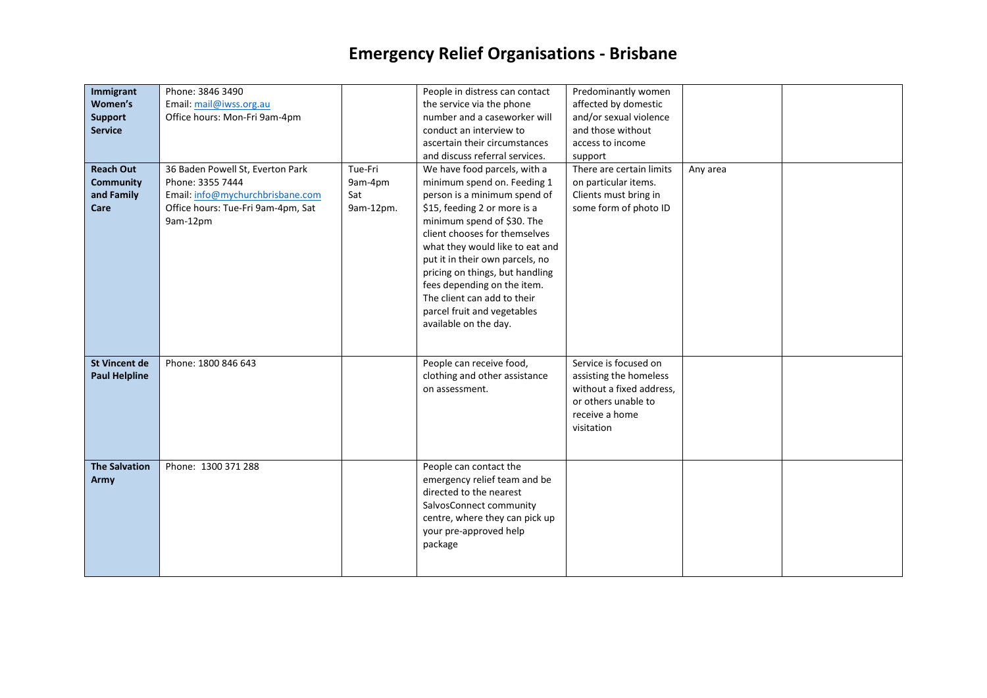| Immigrant<br>Women's<br><b>Support</b><br><b>Service</b><br><b>Reach Out</b><br><b>Community</b><br>and Family<br>Care | Phone: 3846 3490<br>Email: mail@iwss.org.au<br>Office hours: Mon-Fri 9am-4pm<br>36 Baden Powell St, Everton Park<br>Phone: 3355 7444<br>Email: info@mychurchbrisbane.com<br>Office hours: Tue-Fri 9am-4pm, Sat<br>9am-12pm | Tue-Fri<br>9am-4pm<br>Sat<br>9am-12pm. | People in distress can contact<br>the service via the phone<br>number and a caseworker will<br>conduct an interview to<br>ascertain their circumstances<br>and discuss referral services.<br>We have food parcels, with a<br>minimum spend on. Feeding 1<br>person is a minimum spend of<br>\$15, feeding 2 or more is a<br>minimum spend of \$30. The<br>client chooses for themselves<br>what they would like to eat and<br>put it in their own parcels, no<br>pricing on things, but handling<br>fees depending on the item.<br>The client can add to their<br>parcel fruit and vegetables<br>available on the day. | Predominantly women<br>affected by domestic<br>and/or sexual violence<br>and those without<br>access to income<br>support<br>There are certain limits<br>on particular items.<br>Clients must bring in<br>some form of photo ID | Any area |  |
|------------------------------------------------------------------------------------------------------------------------|----------------------------------------------------------------------------------------------------------------------------------------------------------------------------------------------------------------------------|----------------------------------------|------------------------------------------------------------------------------------------------------------------------------------------------------------------------------------------------------------------------------------------------------------------------------------------------------------------------------------------------------------------------------------------------------------------------------------------------------------------------------------------------------------------------------------------------------------------------------------------------------------------------|---------------------------------------------------------------------------------------------------------------------------------------------------------------------------------------------------------------------------------|----------|--|
| <b>St Vincent de</b><br><b>Paul Helpline</b>                                                                           | Phone: 1800 846 643                                                                                                                                                                                                        |                                        | People can receive food,<br>clothing and other assistance<br>on assessment.                                                                                                                                                                                                                                                                                                                                                                                                                                                                                                                                            | Service is focused on<br>assisting the homeless<br>without a fixed address,<br>or others unable to<br>receive a home<br>visitation                                                                                              |          |  |
| <b>The Salvation</b><br>Army                                                                                           | Phone: 1300 371 288                                                                                                                                                                                                        |                                        | People can contact the<br>emergency relief team and be<br>directed to the nearest<br>SalvosConnect community<br>centre, where they can pick up<br>your pre-approved help<br>package                                                                                                                                                                                                                                                                                                                                                                                                                                    |                                                                                                                                                                                                                                 |          |  |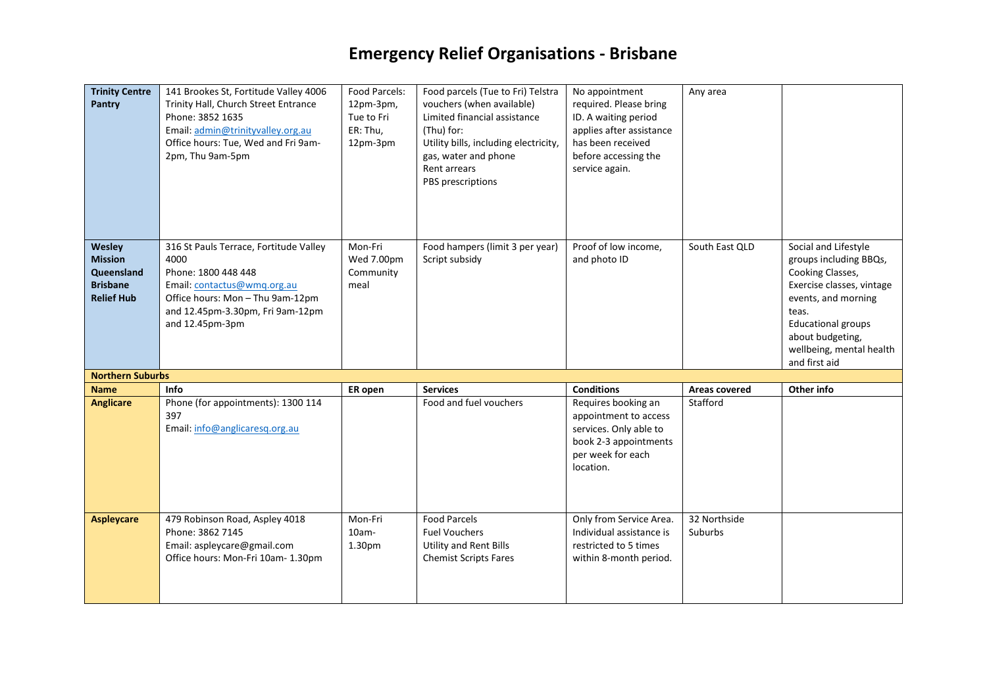| <b>Trinity Centre</b><br><b>Pantry</b>                                         | 141 Brookes St, Fortitude Valley 4006<br>Trinity Hall, Church Street Entrance<br>Phone: 3852 1635<br>Email: admin@trinityvalley.org.au<br>Office hours: Tue, Wed and Fri 9am-<br>2pm, Thu 9am-5pm | Food Parcels:<br>12pm-3pm,<br>Tue to Fri<br>ER: Thu,<br>12pm-3pm | Food parcels (Tue to Fri) Telstra<br>vouchers (when available)<br>Limited financial assistance<br>(Thu) for:<br>Utility bills, including electricity,<br>gas, water and phone<br>Rent arrears<br>PBS prescriptions | No appointment<br>required. Please bring<br>ID. A waiting period<br>applies after assistance<br>has been received<br>before accessing the<br>service again. | Any area                |                                                                                                                                                                                                                               |
|--------------------------------------------------------------------------------|---------------------------------------------------------------------------------------------------------------------------------------------------------------------------------------------------|------------------------------------------------------------------|--------------------------------------------------------------------------------------------------------------------------------------------------------------------------------------------------------------------|-------------------------------------------------------------------------------------------------------------------------------------------------------------|-------------------------|-------------------------------------------------------------------------------------------------------------------------------------------------------------------------------------------------------------------------------|
| Wesley<br><b>Mission</b><br>Queensland<br><b>Brisbane</b><br><b>Relief Hub</b> | 316 St Pauls Terrace, Fortitude Valley<br>4000<br>Phone: 1800 448 448<br>Email: contactus@wmg.org.au<br>Office hours: Mon - Thu 9am-12pm<br>and 12.45pm-3.30pm, Fri 9am-12pm<br>and 12.45pm-3pm   | Mon-Fri<br>Wed 7.00pm<br>Community<br>meal                       | Food hampers (limit 3 per year)<br>Script subsidy                                                                                                                                                                  | Proof of low income,<br>and photo ID                                                                                                                        | South East QLD          | Social and Lifestyle<br>groups including BBQs,<br>Cooking Classes,<br>Exercise classes, vintage<br>events, and morning<br>teas.<br><b>Educational groups</b><br>about budgeting,<br>wellbeing, mental health<br>and first aid |
| <b>Northern Suburbs</b>                                                        |                                                                                                                                                                                                   |                                                                  |                                                                                                                                                                                                                    |                                                                                                                                                             |                         |                                                                                                                                                                                                                               |
| <b>Name</b>                                                                    | Info                                                                                                                                                                                              | ER open                                                          | <b>Services</b>                                                                                                                                                                                                    | <b>Conditions</b>                                                                                                                                           | Areas covered           | Other info                                                                                                                                                                                                                    |
| <b>Anglicare</b>                                                               | Phone (for appointments): 1300 114<br>397<br>Email: info@anglicaresq.org.au                                                                                                                       |                                                                  | Food and fuel vouchers                                                                                                                                                                                             | Requires booking an<br>appointment to access<br>services. Only able to<br>book 2-3 appointments<br>per week for each<br>location.                           | Stafford                |                                                                                                                                                                                                                               |
| <b>Aspleycare</b>                                                              | 479 Robinson Road, Aspley 4018<br>Phone: 3862 7145<br>Email: aspleycare@gmail.com<br>Office hours: Mon-Fri 10am- 1.30pm                                                                           | Mon-Fri<br>$10am -$<br>1.30pm                                    | <b>Food Parcels</b><br><b>Fuel Vouchers</b><br><b>Utility and Rent Bills</b><br><b>Chemist Scripts Fares</b>                                                                                                       | Only from Service Area.<br>Individual assistance is<br>restricted to 5 times<br>within 8-month period.                                                      | 32 Northside<br>Suburbs |                                                                                                                                                                                                                               |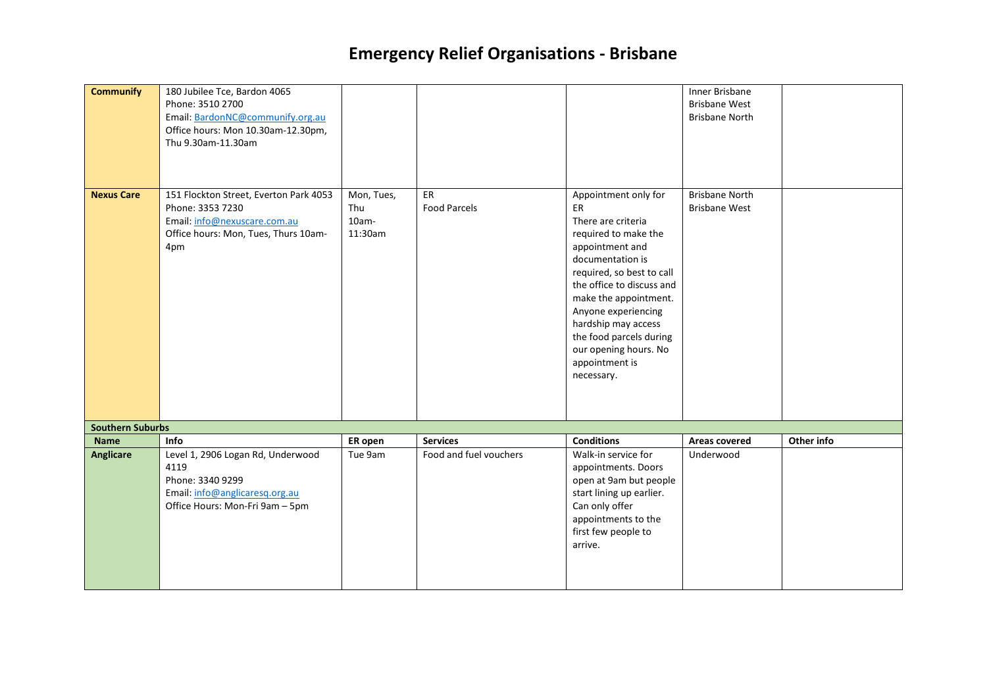| <b>Communify</b>        | 180 Jubilee Tce, Bardon 4065<br>Phone: 3510 2700<br>Email: BardonNC@communify.org.au<br>Office hours: Mon 10.30am-12.30pm,<br>Thu 9.30am-11.30am |                                          |                           |                                                                                                                                                                                                                                                                                                                                      | Inner Brisbane<br><b>Brisbane West</b><br><b>Brisbane North</b> |            |
|-------------------------|--------------------------------------------------------------------------------------------------------------------------------------------------|------------------------------------------|---------------------------|--------------------------------------------------------------------------------------------------------------------------------------------------------------------------------------------------------------------------------------------------------------------------------------------------------------------------------------|-----------------------------------------------------------------|------------|
| <b>Nexus Care</b>       | 151 Flockton Street, Everton Park 4053<br>Phone: 3353 7230<br>Email: info@nexuscare.com.au<br>Office hours: Mon, Tues, Thurs 10am-<br>4pm        | Mon, Tues,<br>Thu<br>$10am -$<br>11:30am | ER<br><b>Food Parcels</b> | Appointment only for<br>ER<br>There are criteria<br>required to make the<br>appointment and<br>documentation is<br>required, so best to call<br>the office to discuss and<br>make the appointment.<br>Anyone experiencing<br>hardship may access<br>the food parcels during<br>our opening hours. No<br>appointment is<br>necessary. | <b>Brisbane North</b><br><b>Brisbane West</b>                   |            |
| <b>Southern Suburbs</b> |                                                                                                                                                  |                                          |                           |                                                                                                                                                                                                                                                                                                                                      |                                                                 |            |
| <b>Name</b>             | <b>Info</b>                                                                                                                                      | ER open                                  | <b>Services</b>           | <b>Conditions</b>                                                                                                                                                                                                                                                                                                                    | Areas covered                                                   | Other info |
| <b>Anglicare</b>        | Level 1, 2906 Logan Rd, Underwood<br>4119<br>Phone: 3340 9299<br>Email: info@anglicaresq.org.au<br>Office Hours: Mon-Fri 9am - 5pm               | Tue 9am                                  | Food and fuel vouchers    | Walk-in service for<br>appointments. Doors<br>open at 9am but people<br>start lining up earlier.<br>Can only offer<br>appointments to the<br>first few people to<br>arrive.                                                                                                                                                          | Underwood                                                       |            |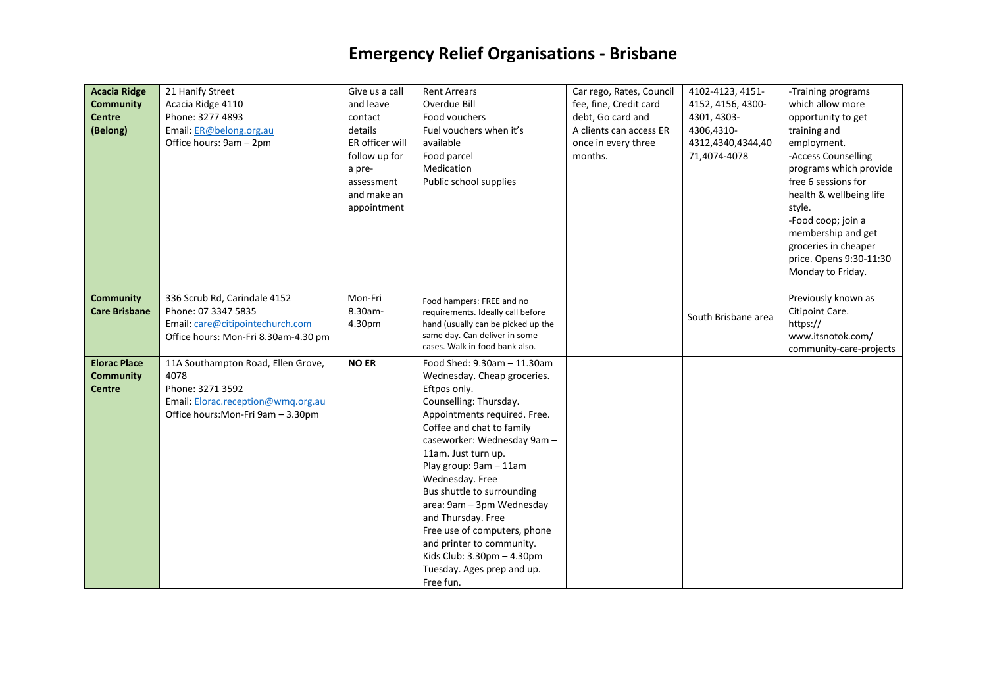| <b>Acacia Ridge</b>  | 21 Hanify Street                     | Give us a call  | <b>Rent Arrears</b>                | Car rego, Rates, Council | 4102-4123, 4151-    | -Training programs      |
|----------------------|--------------------------------------|-----------------|------------------------------------|--------------------------|---------------------|-------------------------|
| <b>Community</b>     | Acacia Ridge 4110                    | and leave       | Overdue Bill                       | fee, fine, Credit card   | 4152, 4156, 4300-   | which allow more        |
| <b>Centre</b>        | Phone: 3277 4893                     | contact         | Food vouchers                      | debt, Go card and        | 4301, 4303-         | opportunity to get      |
| (Belong)             | Email: ER@belong.org.au              | details         | Fuel vouchers when it's            | A clients can access ER  | 4306,4310-          | training and            |
|                      | Office hours: 9am - 2pm              | ER officer will | available                          | once in every three      | 4312,4340,4344,40   | employment.             |
|                      |                                      | follow up for   | Food parcel                        | months.                  | 71,4074-4078        | -Access Counselling     |
|                      |                                      | a pre-          | Medication                         |                          |                     | programs which provide  |
|                      |                                      | assessment      | Public school supplies             |                          |                     | free 6 sessions for     |
|                      |                                      |                 |                                    |                          |                     |                         |
|                      |                                      | and make an     |                                    |                          |                     | health & wellbeing life |
|                      |                                      | appointment     |                                    |                          |                     | style.                  |
|                      |                                      |                 |                                    |                          |                     | -Food coop; join a      |
|                      |                                      |                 |                                    |                          |                     | membership and get      |
|                      |                                      |                 |                                    |                          |                     | groceries in cheaper    |
|                      |                                      |                 |                                    |                          |                     | price. Opens 9:30-11:30 |
|                      |                                      |                 |                                    |                          |                     | Monday to Friday.       |
|                      |                                      |                 |                                    |                          |                     |                         |
| <b>Community</b>     | 336 Scrub Rd, Carindale 4152         | Mon-Fri         | Food hampers: FREE and no          |                          |                     | Previously known as     |
| <b>Care Brisbane</b> | Phone: 07 3347 5835                  | 8.30am-         | requirements. Ideally call before  |                          | South Brisbane area | Citipoint Care.         |
|                      | Email: care@citipointechurch.com     | 4.30pm          | hand (usually can be picked up the |                          |                     | https://                |
|                      | Office hours: Mon-Fri 8.30am-4.30 pm |                 | same day. Can deliver in some      |                          |                     | www.itsnotok.com/       |
|                      |                                      |                 | cases. Walk in food bank also.     |                          |                     | community-care-projects |
| <b>Elorac Place</b>  | 11A Southampton Road, Ellen Grove,   | <b>NO ER</b>    | Food Shed: 9.30am - 11.30am        |                          |                     |                         |
| <b>Community</b>     | 4078                                 |                 | Wednesday. Cheap groceries.        |                          |                     |                         |
| <b>Centre</b>        | Phone: 3271 3592                     |                 | Eftpos only.                       |                          |                     |                         |
|                      | Email: Elorac.reception@wmq.org.au   |                 | Counselling: Thursday.             |                          |                     |                         |
|                      | Office hours: Mon-Fri 9am - 3.30pm   |                 | Appointments required. Free.       |                          |                     |                         |
|                      |                                      |                 | Coffee and chat to family          |                          |                     |                         |
|                      |                                      |                 | caseworker: Wednesday 9am -        |                          |                     |                         |
|                      |                                      |                 | 11am. Just turn up.                |                          |                     |                         |
|                      |                                      |                 | Play group: 9am - 11am             |                          |                     |                         |
|                      |                                      |                 | Wednesday. Free                    |                          |                     |                         |
|                      |                                      |                 | Bus shuttle to surrounding         |                          |                     |                         |
|                      |                                      |                 | area: 9am - 3pm Wednesday          |                          |                     |                         |
|                      |                                      |                 | and Thursday. Free                 |                          |                     |                         |
|                      |                                      |                 | Free use of computers, phone       |                          |                     |                         |
|                      |                                      |                 | and printer to community.          |                          |                     |                         |
|                      |                                      |                 | Kids Club: $3.30$ pm $- 4.30$ pm   |                          |                     |                         |
|                      |                                      |                 | Tuesday. Ages prep and up.         |                          |                     |                         |
|                      |                                      |                 | Free fun.                          |                          |                     |                         |
|                      |                                      |                 |                                    |                          |                     |                         |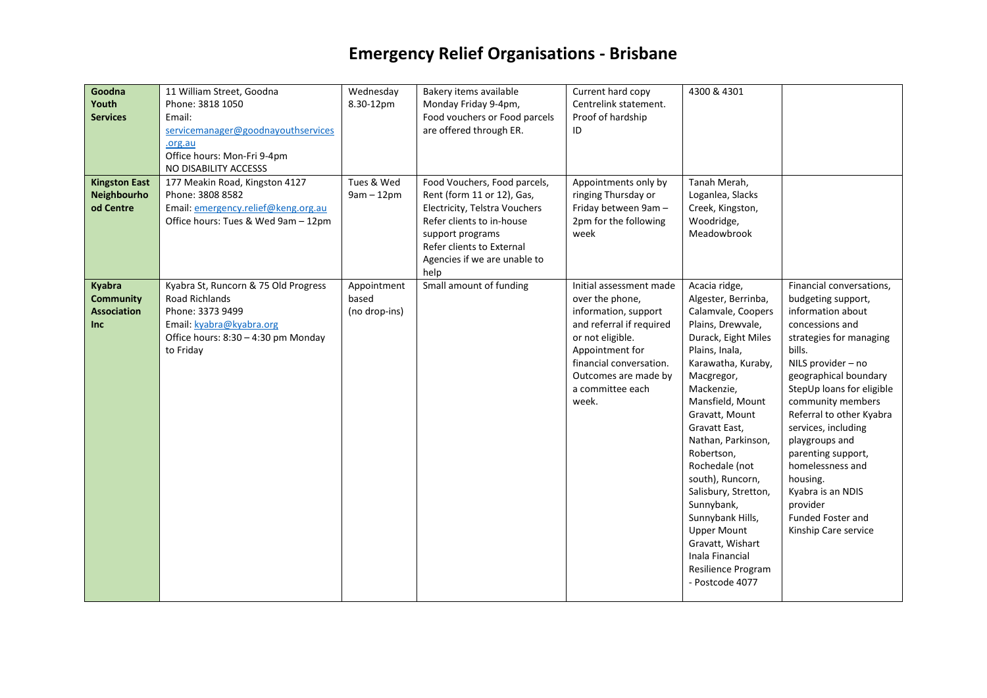| Goodna<br>Youth<br><b>Services</b><br><b>Kingston East</b>            | 11 William Street, Goodna<br>Phone: 3818 1050<br>Email:<br>servicemanager@goodnayouthservices<br>.org.au<br>Office hours: Mon-Fri 9-4pm<br>NO DISABILITY ACCESSS<br>177 Meakin Road, Kingston 4127 | Wednesday<br>8.30-12pm<br>Tues & Wed  | Bakery items available<br>Monday Friday 9-4pm,<br>Food vouchers or Food parcels<br>are offered through ER.<br>Food Vouchers, Food parcels,                                        | Current hard copy<br>Centrelink statement.<br>Proof of hardship<br>ID<br>Appointments only by                                                                                                                         | 4300 & 4301<br>Tanah Merah,                                                                                                                                                                                                                                                                                                                                                                                                                                                        |                                                                                                                                                                                                                                                                                                                                                                                                                                              |
|-----------------------------------------------------------------------|----------------------------------------------------------------------------------------------------------------------------------------------------------------------------------------------------|---------------------------------------|-----------------------------------------------------------------------------------------------------------------------------------------------------------------------------------|-----------------------------------------------------------------------------------------------------------------------------------------------------------------------------------------------------------------------|------------------------------------------------------------------------------------------------------------------------------------------------------------------------------------------------------------------------------------------------------------------------------------------------------------------------------------------------------------------------------------------------------------------------------------------------------------------------------------|----------------------------------------------------------------------------------------------------------------------------------------------------------------------------------------------------------------------------------------------------------------------------------------------------------------------------------------------------------------------------------------------------------------------------------------------|
| Neighbourho<br>od Centre                                              | Phone: 3808 8582<br>Email: emergency.relief@keng.org.au<br>Office hours: Tues & Wed 9am - 12pm                                                                                                     | $9am - 12pm$                          | Rent (form 11 or 12), Gas,<br>Electricity, Telstra Vouchers<br>Refer clients to in-house<br>support programs<br>Refer clients to External<br>Agencies if we are unable to<br>help | ringing Thursday or<br>Friday between 9am -<br>2pm for the following<br>week                                                                                                                                          | Loganlea, Slacks<br>Creek, Kingston,<br>Woodridge,<br>Meadowbrook                                                                                                                                                                                                                                                                                                                                                                                                                  |                                                                                                                                                                                                                                                                                                                                                                                                                                              |
| <b>Kyabra</b><br><b>Community</b><br><b>Association</b><br><b>Inc</b> | Kyabra St, Runcorn & 75 Old Progress<br><b>Road Richlands</b><br>Phone: 3373 9499<br>Email: kyabra@kyabra.org<br>Office hours: 8:30 - 4:30 pm Monday<br>to Friday                                  | Appointment<br>based<br>(no drop-ins) | Small amount of funding                                                                                                                                                           | Initial assessment made<br>over the phone,<br>information, support<br>and referral if required<br>or not eligible.<br>Appointment for<br>financial conversation.<br>Outcomes are made by<br>a committee each<br>week. | Acacia ridge,<br>Algester, Berrinba,<br>Calamvale, Coopers<br>Plains, Drewvale,<br>Durack, Eight Miles<br>Plains, Inala,<br>Karawatha, Kuraby,<br>Macgregor,<br>Mackenzie,<br>Mansfield, Mount<br>Gravatt, Mount<br>Gravatt East,<br>Nathan, Parkinson,<br>Robertson,<br>Rochedale (not<br>south), Runcorn,<br>Salisbury, Stretton,<br>Sunnybank,<br>Sunnybank Hills,<br><b>Upper Mount</b><br>Gravatt, Wishart<br>Inala Financial<br><b>Resilience Program</b><br>- Postcode 4077 | Financial conversations,<br>budgeting support,<br>information about<br>concessions and<br>strategies for managing<br>bills.<br>NILS provider - no<br>geographical boundary<br>StepUp loans for eligible<br>community members<br>Referral to other Kyabra<br>services, including<br>playgroups and<br>parenting support,<br>homelessness and<br>housing.<br>Kyabra is an NDIS<br>provider<br><b>Funded Foster and</b><br>Kinship Care service |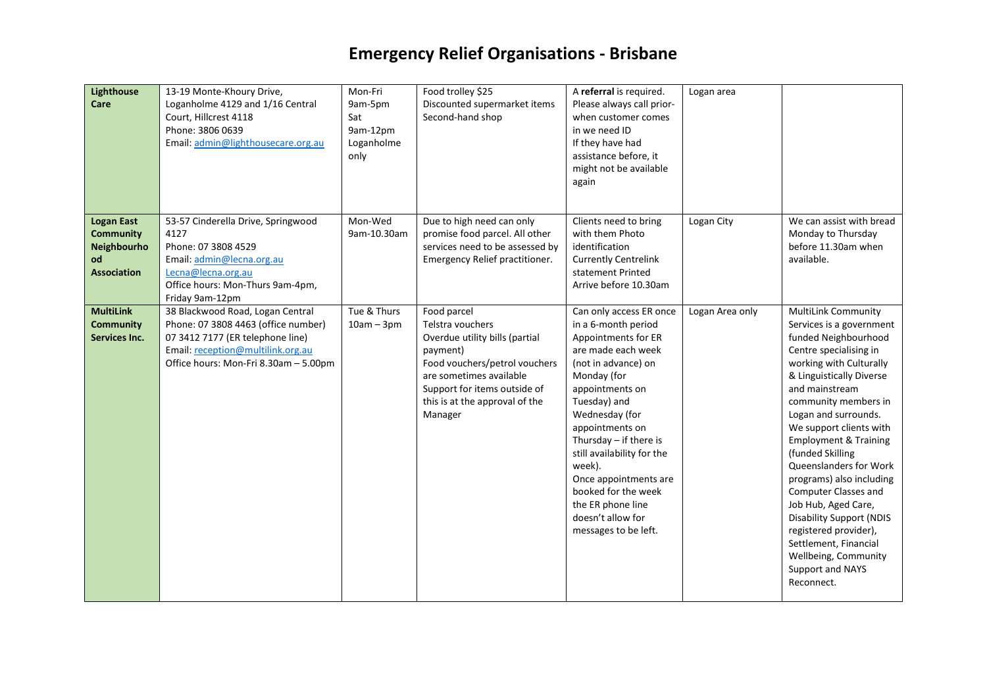| <b>Lighthouse</b><br>Care                                                        | 13-19 Monte-Khoury Drive,<br>Loganholme 4129 and 1/16 Central<br>Court, Hillcrest 4118<br>Phone: 3806 0639<br>Email: admin@lighthousecare.org.au                                          | Mon-Fri<br>9am-5pm<br>Sat<br>9am-12pm<br>Loganholme<br>only | Food trolley \$25<br>Discounted supermarket items<br>Second-hand shop                                                                                                                                                  | A referral is required.<br>Please always call prior-<br>when customer comes<br>in we need ID<br>If they have had<br>assistance before, it<br>might not be available<br>again                                                                                                                                                                                                                    | Logan area      |                                                                                                                                                                                                                                                                                                                                                                                                                                                                                                                                                                          |
|----------------------------------------------------------------------------------|-------------------------------------------------------------------------------------------------------------------------------------------------------------------------------------------|-------------------------------------------------------------|------------------------------------------------------------------------------------------------------------------------------------------------------------------------------------------------------------------------|-------------------------------------------------------------------------------------------------------------------------------------------------------------------------------------------------------------------------------------------------------------------------------------------------------------------------------------------------------------------------------------------------|-----------------|--------------------------------------------------------------------------------------------------------------------------------------------------------------------------------------------------------------------------------------------------------------------------------------------------------------------------------------------------------------------------------------------------------------------------------------------------------------------------------------------------------------------------------------------------------------------------|
| <b>Logan East</b><br><b>Community</b><br>Neighbourho<br>od<br><b>Association</b> | 53-57 Cinderella Drive, Springwood<br>4127<br>Phone: 07 3808 4529<br>Email: admin@lecna.org.au<br>Lecna@lecna.org.au<br>Office hours: Mon-Thurs 9am-4pm,<br>Friday 9am-12pm               | Mon-Wed<br>9am-10.30am                                      | Due to high need can only<br>promise food parcel. All other<br>services need to be assessed by<br>Emergency Relief practitioner.                                                                                       | Clients need to bring<br>with them Photo<br>identification<br><b>Currently Centrelink</b><br>statement Printed<br>Arrive before 10.30am                                                                                                                                                                                                                                                         | Logan City      | We can assist with bread<br>Monday to Thursday<br>before 11.30am when<br>available.                                                                                                                                                                                                                                                                                                                                                                                                                                                                                      |
| <b>MultiLink</b><br><b>Community</b><br><b>Services Inc.</b>                     | 38 Blackwood Road, Logan Central<br>Phone: 07 3808 4463 (office number)<br>07 3412 7177 (ER telephone line)<br>Email: reception@multilink.org.au<br>Office hours: Mon-Fri 8.30am - 5.00pm | Tue & Thurs<br>$10am - 3pm$                                 | Food parcel<br>Telstra vouchers<br>Overdue utility bills (partial<br>payment)<br>Food vouchers/petrol vouchers<br>are sometimes available<br>Support for items outside of<br>this is at the approval of the<br>Manager | Can only access ER once<br>in a 6-month period<br>Appointments for ER<br>are made each week<br>(not in advance) on<br>Monday (for<br>appointments on<br>Tuesday) and<br>Wednesday (for<br>appointments on<br>Thursday $-$ if there is<br>still availability for the<br>week).<br>Once appointments are<br>booked for the week<br>the ER phone line<br>doesn't allow for<br>messages to be left. | Logan Area only | <b>MultiLink Community</b><br>Services is a government<br>funded Neighbourhood<br>Centre specialising in<br>working with Culturally<br>& Linguistically Diverse<br>and mainstream<br>community members in<br>Logan and surrounds.<br>We support clients with<br><b>Employment &amp; Training</b><br>(funded Skilling<br>Queenslanders for Work<br>programs) also including<br>Computer Classes and<br>Job Hub, Aged Care,<br><b>Disability Support (NDIS</b><br>registered provider),<br>Settlement, Financial<br>Wellbeing, Community<br>Support and NAYS<br>Reconnect. |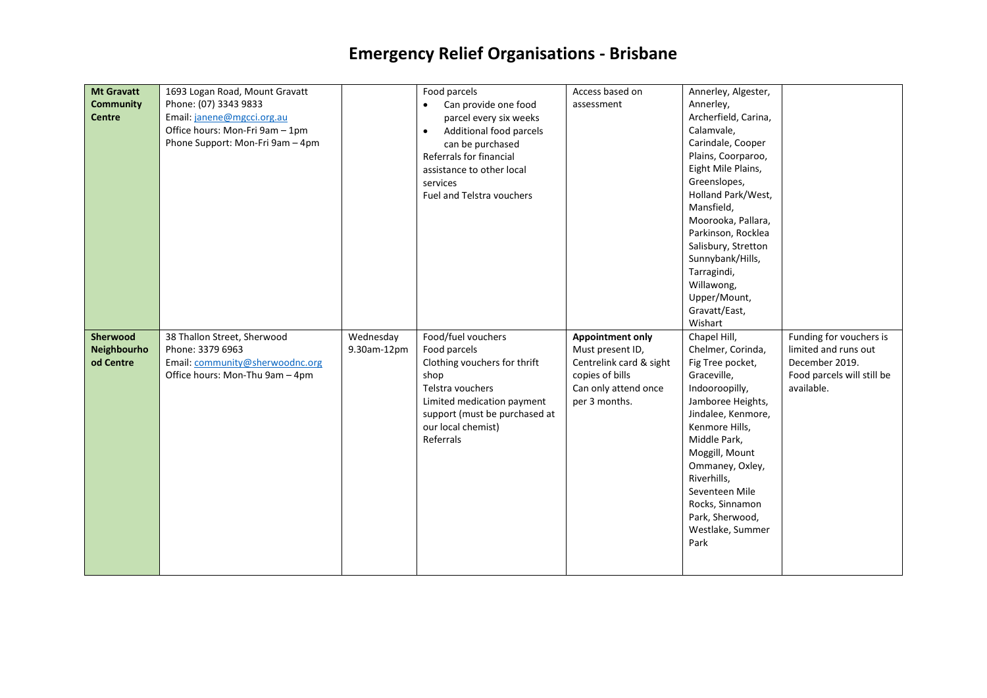| <b>Mt Gravatt</b><br><b>Community</b><br><b>Centre</b> | 1693 Logan Road, Mount Gravatt<br>Phone: (07) 3343 9833<br>Email: janene@mgcci.org.au<br>Office hours: Mon-Fri 9am - 1pm<br>Phone Support: Mon-Fri 9am - 4pm |                          | Food parcels<br>Can provide one food<br>$\bullet$<br>parcel every six weeks<br>Additional food parcels<br>$\bullet$<br>can be purchased<br>Referrals for financial<br>assistance to other local<br>services<br>Fuel and Telstra vouchers | Access based on<br>assessment                                                                                                      | Annerley, Algester,<br>Annerley,<br>Archerfield, Carina,<br>Calamvale,<br>Carindale, Cooper<br>Plains, Coorparoo,<br>Eight Mile Plains,<br>Greenslopes,<br>Holland Park/West,<br>Mansfield,<br>Moorooka, Pallara,<br>Parkinson, Rocklea<br>Salisbury, Stretton<br>Sunnybank/Hills,<br>Tarragindi,<br>Willawong,<br>Upper/Mount,<br>Gravatt/East,<br>Wishart |                                                                                                               |
|--------------------------------------------------------|--------------------------------------------------------------------------------------------------------------------------------------------------------------|--------------------------|------------------------------------------------------------------------------------------------------------------------------------------------------------------------------------------------------------------------------------------|------------------------------------------------------------------------------------------------------------------------------------|-------------------------------------------------------------------------------------------------------------------------------------------------------------------------------------------------------------------------------------------------------------------------------------------------------------------------------------------------------------|---------------------------------------------------------------------------------------------------------------|
| <b>Sherwood</b><br>Neighbourho<br>od Centre            | 38 Thallon Street, Sherwood<br>Phone: 3379 6963<br>Email: community@sherwoodnc.org<br>Office hours: Mon-Thu 9am - 4pm                                        | Wednesday<br>9.30am-12pm | Food/fuel vouchers<br>Food parcels<br>Clothing vouchers for thrift<br>shop<br>Telstra vouchers<br>Limited medication payment<br>support (must be purchased at<br>our local chemist)<br>Referrals                                         | <b>Appointment only</b><br>Must present ID,<br>Centrelink card & sight<br>copies of bills<br>Can only attend once<br>per 3 months. | Chapel Hill,<br>Chelmer, Corinda,<br>Fig Tree pocket,<br>Graceville,<br>Indooroopilly,<br>Jamboree Heights,<br>Jindalee, Kenmore,<br>Kenmore Hills,<br>Middle Park,<br>Moggill, Mount<br>Ommaney, Oxley,<br>Riverhills,<br>Seventeen Mile<br>Rocks, Sinnamon<br>Park, Sherwood,<br>Westlake, Summer<br>Park                                                 | Funding for vouchers is<br>limited and runs out<br>December 2019.<br>Food parcels will still be<br>available. |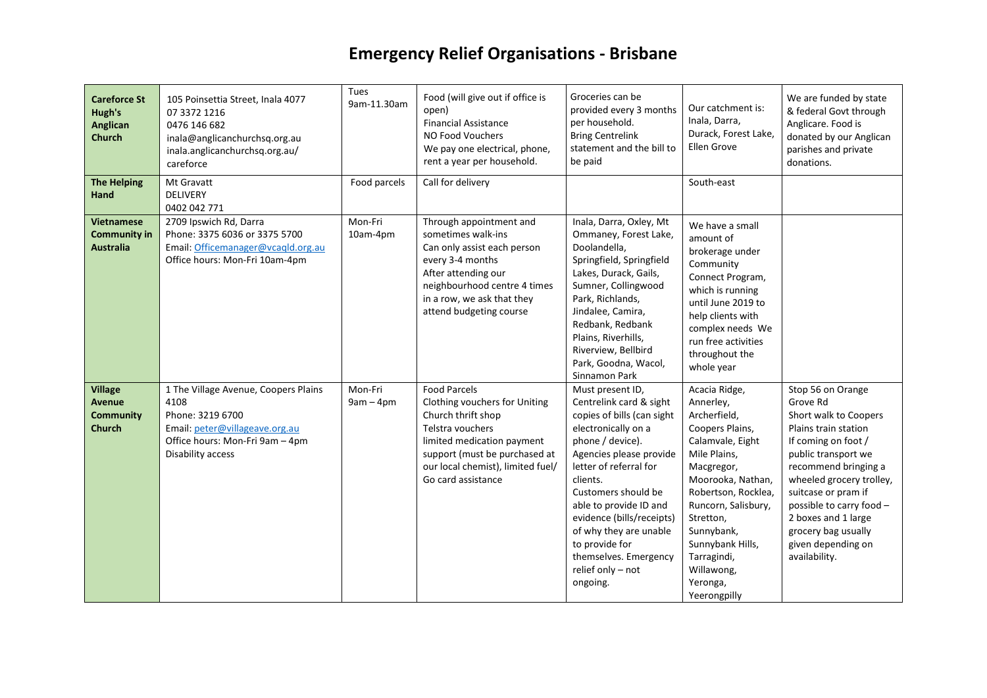| <b>Careforce St</b><br>Hugh's<br>Anglican<br><b>Church</b>           | 105 Poinsettia Street, Inala 4077<br>07 3372 1216<br>0476 146 682<br>inala@anglicanchurchsq.org.au<br>inala.anglicanchurchsq.org.au/<br>careforce          | Tues<br>9am-11.30am    | Food (will give out if office is<br>open)<br><b>Financial Assistance</b><br>NO Food Vouchers<br>We pay one electrical, phone,<br>rent a year per household.                                                              | Groceries can be<br>provided every 3 months<br>per household.<br><b>Bring Centrelink</b><br>statement and the bill to<br>be paid                                                                                                                                                                                                                                          | Our catchment is:<br>Inala, Darra,<br>Durack, Forest Lake,<br>Ellen Grove                                                                                                                                                                                                                  | We are funded by state<br>& federal Govt through<br>Anglicare. Food is<br>donated by our Anglican<br>parishes and private<br>donations.                                                                                                                                                                                  |
|----------------------------------------------------------------------|------------------------------------------------------------------------------------------------------------------------------------------------------------|------------------------|--------------------------------------------------------------------------------------------------------------------------------------------------------------------------------------------------------------------------|---------------------------------------------------------------------------------------------------------------------------------------------------------------------------------------------------------------------------------------------------------------------------------------------------------------------------------------------------------------------------|--------------------------------------------------------------------------------------------------------------------------------------------------------------------------------------------------------------------------------------------------------------------------------------------|--------------------------------------------------------------------------------------------------------------------------------------------------------------------------------------------------------------------------------------------------------------------------------------------------------------------------|
| <b>The Helping</b><br>Hand                                           | Mt Gravatt<br><b>DELIVERY</b><br>0402 042 771                                                                                                              | Food parcels           | Call for delivery                                                                                                                                                                                                        |                                                                                                                                                                                                                                                                                                                                                                           | South-east                                                                                                                                                                                                                                                                                 |                                                                                                                                                                                                                                                                                                                          |
| <b>Vietnamese</b><br><b>Community in</b><br><b>Australia</b>         | 2709 Ipswich Rd, Darra<br>Phone: 3375 6036 or 3375 5700<br>Email: Officemanager@vcagld.org.au<br>Office hours: Mon-Fri 10am-4pm                            | Mon-Fri<br>10am-4pm    | Through appointment and<br>sometimes walk-ins<br>Can only assist each person<br>every 3-4 months<br>After attending our<br>neighbourhood centre 4 times<br>in a row, we ask that they<br>attend budgeting course         | Inala, Darra, Oxley, Mt<br>Ommaney, Forest Lake,<br>Doolandella,<br>Springfield, Springfield<br>Lakes, Durack, Gails,<br>Sumner, Collingwood<br>Park, Richlands,<br>Jindalee, Camira,<br>Redbank, Redbank<br>Plains, Riverhills,<br>Riverview, Bellbird<br>Park, Goodna, Wacol,<br>Sinnamon Park                                                                          | We have a small<br>amount of<br>brokerage under<br>Community<br>Connect Program,<br>which is running<br>until June 2019 to<br>help clients with<br>complex needs We<br>run free activities<br>throughout the<br>whole year                                                                 |                                                                                                                                                                                                                                                                                                                          |
| <b>Village</b><br><b>Avenue</b><br><b>Community</b><br><b>Church</b> | 1 The Village Avenue, Coopers Plains<br>4108<br>Phone: 3219 6700<br>Email: peter@villageave.org.au<br>Office hours: Mon-Fri 9am - 4pm<br>Disability access | Mon-Fri<br>$9am - 4pm$ | <b>Food Parcels</b><br>Clothing vouchers for Uniting<br>Church thrift shop<br>Telstra vouchers<br>limited medication payment<br>support (must be purchased at<br>our local chemist), limited fuel/<br>Go card assistance | Must present ID,<br>Centrelink card & sight<br>copies of bills (can sight<br>electronically on a<br>phone / device).<br>Agencies please provide<br>letter of referral for<br>clients.<br>Customers should be<br>able to provide ID and<br>evidence (bills/receipts)<br>of why they are unable<br>to provide for<br>themselves. Emergency<br>relief only - not<br>ongoing. | Acacia Ridge,<br>Annerley,<br>Archerfield,<br>Coopers Plains,<br>Calamvale, Eight<br>Mile Plains,<br>Macgregor,<br>Moorooka, Nathan,<br>Robertson, Rocklea,<br>Runcorn, Salisbury,<br>Stretton,<br>Sunnybank,<br>Sunnybank Hills,<br>Tarragindi,<br>Willawong,<br>Yeronga,<br>Yeerongpilly | Stop 56 on Orange<br>Grove Rd<br>Short walk to Coopers<br>Plains train station<br>If coming on foot /<br>public transport we<br>recommend bringing a<br>wheeled grocery trolley,<br>suitcase or pram if<br>possible to carry food -<br>2 boxes and 1 large<br>grocery bag usually<br>given depending on<br>availability. |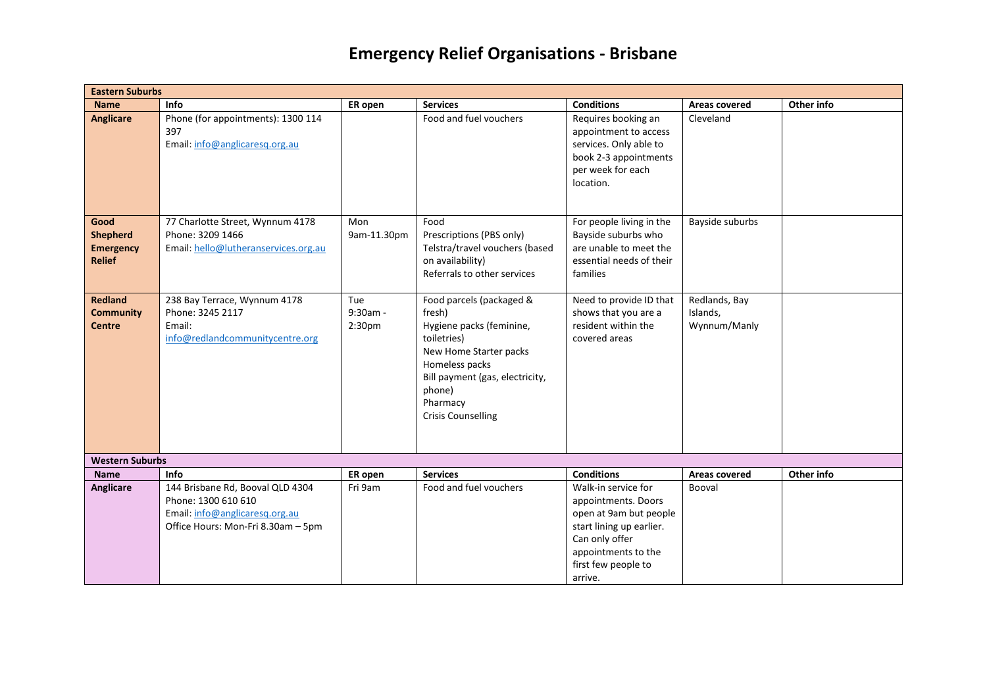| <b>Eastern Suburbs</b>                                       |                                                                                                                                 |                                         |                                                                                                                                                                                                                 |                                                                                                                                                                             |                                           |            |  |  |  |
|--------------------------------------------------------------|---------------------------------------------------------------------------------------------------------------------------------|-----------------------------------------|-----------------------------------------------------------------------------------------------------------------------------------------------------------------------------------------------------------------|-----------------------------------------------------------------------------------------------------------------------------------------------------------------------------|-------------------------------------------|------------|--|--|--|
| <b>Name</b>                                                  | Info                                                                                                                            | ER open                                 | <b>Services</b>                                                                                                                                                                                                 | <b>Conditions</b>                                                                                                                                                           | Areas covered                             | Other info |  |  |  |
| <b>Anglicare</b>                                             | Phone (for appointments): 1300 114<br>397<br>Email: info@anglicaresq.org.au                                                     |                                         | Food and fuel vouchers                                                                                                                                                                                          | Requires booking an<br>appointment to access<br>services. Only able to<br>book 2-3 appointments<br>per week for each<br>location.                                           | Cleveland                                 |            |  |  |  |
| Good<br><b>Shepherd</b><br><b>Emergency</b><br><b>Relief</b> | 77 Charlotte Street, Wynnum 4178<br>Phone: 3209 1466<br>Email: hello@lutheranservices.org.au                                    | Mon<br>9am-11.30pm                      | Food<br>Prescriptions (PBS only)<br>Telstra/travel vouchers (based<br>on availability)<br>Referrals to other services                                                                                           | For people living in the<br>Bayside suburbs who<br>are unable to meet the<br>essential needs of their<br>families                                                           | Bayside suburbs                           |            |  |  |  |
| <b>Redland</b><br><b>Community</b><br><b>Centre</b>          | 238 Bay Terrace, Wynnum 4178<br>Phone: 3245 2117<br>Email:<br>info@redlandcommunitycentre.org                                   | Tue<br>$9:30am -$<br>2:30 <sub>pm</sub> | Food parcels (packaged &<br>fresh)<br>Hygiene packs (feminine,<br>toiletries)<br>New Home Starter packs<br>Homeless packs<br>Bill payment (gas, electricity,<br>phone)<br>Pharmacy<br><b>Crisis Counselling</b> | Need to provide ID that<br>shows that you are a<br>resident within the<br>covered areas                                                                                     | Redlands, Bay<br>Islands,<br>Wynnum/Manly |            |  |  |  |
| <b>Western Suburbs</b>                                       |                                                                                                                                 |                                         |                                                                                                                                                                                                                 |                                                                                                                                                                             |                                           |            |  |  |  |
| <b>Name</b>                                                  | Info                                                                                                                            | ER open                                 | <b>Services</b>                                                                                                                                                                                                 | <b>Conditions</b>                                                                                                                                                           | Areas covered                             | Other info |  |  |  |
| <b>Anglicare</b>                                             | 144 Brisbane Rd, Booval QLD 4304<br>Phone: 1300 610 610<br>Email: info@anglicaresq.org.au<br>Office Hours: Mon-Fri 8.30am - 5pm | Fri 9am                                 | Food and fuel vouchers                                                                                                                                                                                          | Walk-in service for<br>appointments. Doors<br>open at 9am but people<br>start lining up earlier.<br>Can only offer<br>appointments to the<br>first few people to<br>arrive. | Booval                                    |            |  |  |  |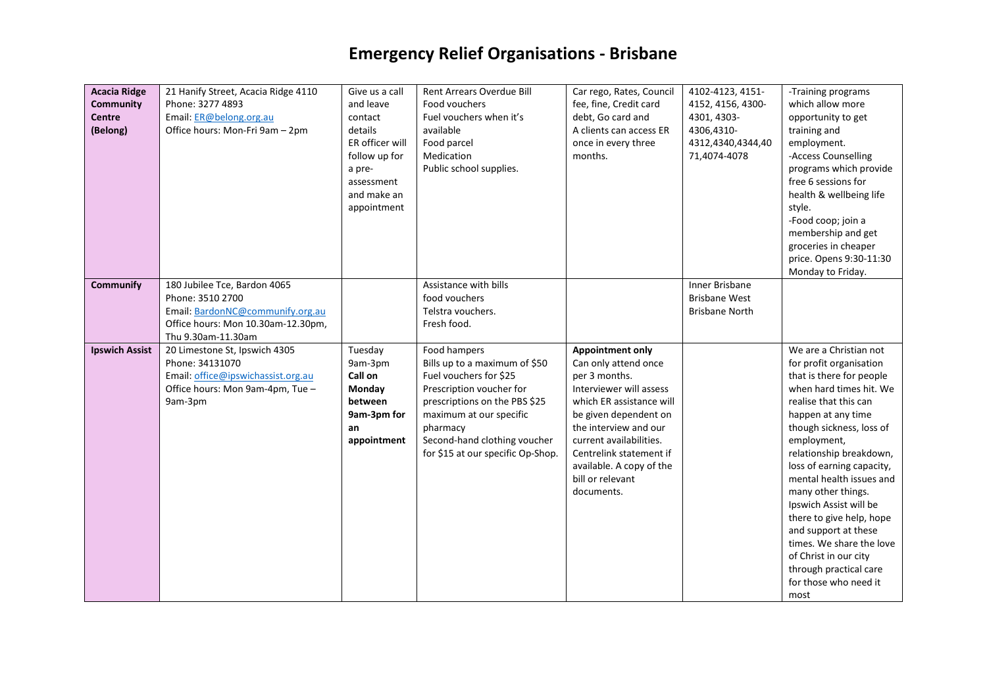| <b>Acacia Ridge</b><br><b>Community</b><br><b>Centre</b><br>(Belong) | 21 Hanify Street, Acacia Ridge 4110<br>Phone: 3277 4893<br>Email: ER@belong.org.au<br>Office hours: Mon-Fri 9am - 2pm                            | Give us a call<br>and leave<br>contact<br>details<br>ER officer will<br>follow up for<br>a pre-<br>assessment<br>and make an<br>appointment | Rent Arrears Overdue Bill<br>Food vouchers<br>Fuel vouchers when it's<br>available<br>Food parcel<br>Medication<br>Public school supplies.                                                                                                       | Car rego, Rates, Council<br>fee, fine, Credit card<br>debt, Go card and<br>A clients can access ER<br>once in every three<br>months.                                                                                                                                                          | 4102-4123, 4151-<br>4152, 4156, 4300-<br>4301, 4303-<br>4306,4310-<br>4312,4340,4344,40<br>71,4074-4078 | -Training programs<br>which allow more<br>opportunity to get<br>training and<br>employment.<br>-Access Counselling<br>programs which provide<br>free 6 sessions for<br>health & wellbeing life<br>style.<br>-Food coop; join a<br>membership and get<br>groceries in cheaper<br>price. Opens 9:30-11:30<br>Monday to Friday.                                                                                                                                                                               |
|----------------------------------------------------------------------|--------------------------------------------------------------------------------------------------------------------------------------------------|---------------------------------------------------------------------------------------------------------------------------------------------|--------------------------------------------------------------------------------------------------------------------------------------------------------------------------------------------------------------------------------------------------|-----------------------------------------------------------------------------------------------------------------------------------------------------------------------------------------------------------------------------------------------------------------------------------------------|---------------------------------------------------------------------------------------------------------|------------------------------------------------------------------------------------------------------------------------------------------------------------------------------------------------------------------------------------------------------------------------------------------------------------------------------------------------------------------------------------------------------------------------------------------------------------------------------------------------------------|
| <b>Communify</b>                                                     | 180 Jubilee Tce, Bardon 4065<br>Phone: 3510 2700<br>Email: BardonNC@communify.org.au<br>Office hours: Mon 10.30am-12.30pm,<br>Thu 9.30am-11.30am |                                                                                                                                             | Assistance with bills<br>food vouchers<br>Telstra vouchers.<br>Fresh food.                                                                                                                                                                       |                                                                                                                                                                                                                                                                                               | <b>Inner Brisbane</b><br><b>Brisbane West</b><br><b>Brisbane North</b>                                  |                                                                                                                                                                                                                                                                                                                                                                                                                                                                                                            |
| <b>Ipswich Assist</b>                                                | 20 Limestone St, Ipswich 4305<br>Phone: 34131070<br>Email: office@ipswichassist.org.au<br>Office hours: Mon 9am-4pm, Tue -<br>9am-3pm            | Tuesday<br>9am-3pm<br>Call on<br>Monday<br>between<br>9am-3pm for<br>an<br>appointment                                                      | Food hampers<br>Bills up to a maximum of \$50<br>Fuel vouchers for \$25<br>Prescription voucher for<br>prescriptions on the PBS \$25<br>maximum at our specific<br>pharmacy<br>Second-hand clothing voucher<br>for \$15 at our specific Op-Shop. | <b>Appointment only</b><br>Can only attend once<br>per 3 months.<br>Interviewer will assess<br>which ER assistance will<br>be given dependent on<br>the interview and our<br>current availabilities.<br>Centrelink statement if<br>available. A copy of the<br>bill or relevant<br>documents. |                                                                                                         | We are a Christian not<br>for profit organisation<br>that is there for people<br>when hard times hit. We<br>realise that this can<br>happen at any time<br>though sickness, loss of<br>employment,<br>relationship breakdown,<br>loss of earning capacity,<br>mental health issues and<br>many other things.<br>Ipswich Assist will be<br>there to give help, hope<br>and support at these<br>times. We share the love<br>of Christ in our city<br>through practical care<br>for those who need it<br>most |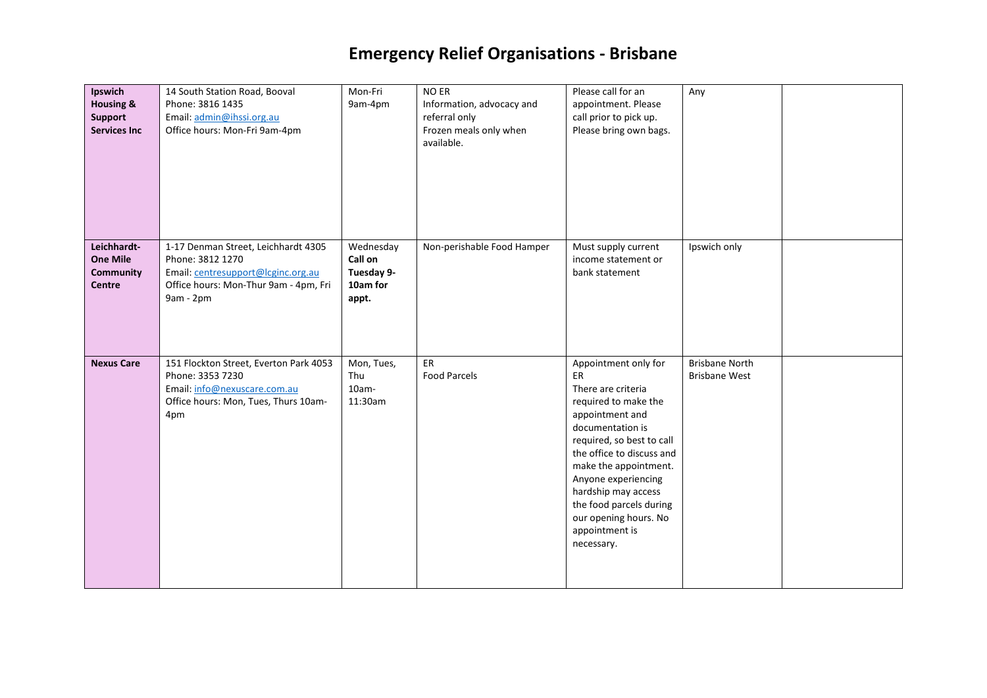| Ipswich<br><b>Housing &amp;</b><br><b>Support</b><br><b>Services Inc</b> | 14 South Station Road, Booval<br>Phone: 3816 1435<br>Email: admin@ihssi.org.au<br>Office hours: Mon-Fri 9am-4pm                                     | Mon-Fri<br>9am-4pm                                      | NO ER<br>Information, advocacy and<br>referral only<br>Frozen meals only when<br>available. | Please call for an<br>appointment. Please<br>call prior to pick up.<br>Please bring own bags.                                                                                                                                                                                                                                        | Any                                           |  |
|--------------------------------------------------------------------------|-----------------------------------------------------------------------------------------------------------------------------------------------------|---------------------------------------------------------|---------------------------------------------------------------------------------------------|--------------------------------------------------------------------------------------------------------------------------------------------------------------------------------------------------------------------------------------------------------------------------------------------------------------------------------------|-----------------------------------------------|--|
| Leichhardt-<br><b>One Mile</b><br><b>Community</b><br><b>Centre</b>      | 1-17 Denman Street, Leichhardt 4305<br>Phone: 3812 1270<br>Email: centresupport@lcginc.org.au<br>Office hours: Mon-Thur 9am - 4pm, Fri<br>9am - 2pm | Wednesday<br>Call on<br>Tuesday 9-<br>10am for<br>appt. | Non-perishable Food Hamper                                                                  | Must supply current<br>income statement or<br>bank statement                                                                                                                                                                                                                                                                         | Ipswich only                                  |  |
| <b>Nexus Care</b>                                                        | 151 Flockton Street, Everton Park 4053<br>Phone: 3353 7230<br>Email: info@nexuscare.com.au<br>Office hours: Mon, Tues, Thurs 10am-<br>4pm           | Mon, Tues,<br>Thu<br>$10am -$<br>11:30am                | ER<br><b>Food Parcels</b>                                                                   | Appointment only for<br>ER<br>There are criteria<br>required to make the<br>appointment and<br>documentation is<br>required, so best to call<br>the office to discuss and<br>make the appointment.<br>Anyone experiencing<br>hardship may access<br>the food parcels during<br>our opening hours. No<br>appointment is<br>necessary. | <b>Brisbane North</b><br><b>Brisbane West</b> |  |